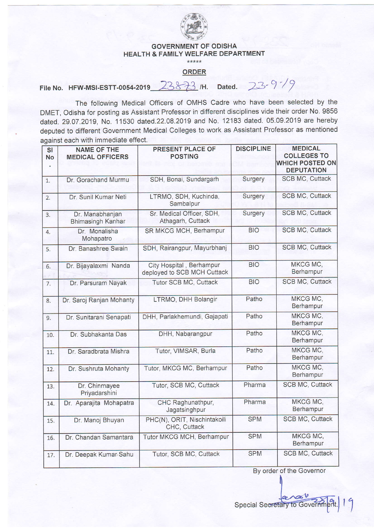

## GOVERNMENT OF ODISHA HEALTH & FAMILY WELFARE DEPARTMENT

\*\*\*\*\*

## ORDER

## File No. HFW-MSI-ESTT-0054-2019 23833 /H. Dated. 2:3-9-19

The following Medical Officers of OMHS Cadre who have been selected by the DMET, Odisha for posting as Assistant Professor in different disciplines vide their order No. 9856 dated. 29.07.2019, No. 11530 dated.22.08.2019 and No. 12183 dated. 05.09.2019 are hereby deputed to different Government Medical Colleges to work as Assistant Professor as mentioned against each with immediate effect.

| <b>SI</b><br><b>No</b> | <b>NAME OF THE</b><br><b>MEDICAL OFFICERS</b> | PRESENT PLACE OF<br><b>POSTING</b>                      | <b>DISCIPLINE</b> | <b>MEDICAL</b><br><b>COLLEGES TO</b><br><b>WHICH POSTED ON</b><br><b>DEPUTATION</b> |
|------------------------|-----------------------------------------------|---------------------------------------------------------|-------------------|-------------------------------------------------------------------------------------|
| 1.                     | Dr. Gorachand Murmu                           | SDH, Bonai, Sundargarh                                  | Surgery           | <b>SCB MC, Cuttack</b>                                                              |
| $\overline{2}$ .       | Dr. Sunil Kumar Neti                          | LTRMO, SDH, Kuchinda,<br>Sambalpur                      | Surgery           | <b>SCB MC, Cuttack</b>                                                              |
| $\overline{3}$ .       | Dr. Manabhanjan<br><b>Bhimasingh Kanhar</b>   | Sr. Medical Officer, SDH,<br>Athagarh, Cuttack          | Surgery           | <b>SCB MC, Cuttack</b>                                                              |
| 4.                     | Dr. Monalisha<br>Mohapatro                    | SR MKCG MCH, Berhampur                                  | <b>BIO</b>        | <b>SCB MC, Cuttack</b>                                                              |
| 5.                     | Dr. Banashree Swain                           | SDH, Rairangpur, Mayurbhanj                             | <b>BIO</b>        | <b>SCB MC, Cuttack</b>                                                              |
| 6.                     | Dr. Bijayalaxmi Nanda                         | City Hospital, Berhampur<br>deployed to SCB MCH Cuttack | <b>BIO</b>        | MKCG MC.<br>Berhampur                                                               |
| $\overline{7}$ .       | Dr. Parsuram Nayak                            | Tutor SCB MC, Cuttack                                   | <b>BIO</b>        | <b>SCB MC, Cuttack</b>                                                              |
| 8.                     | Dr. Saroj Ranjan Mohanty                      | LTRMO, DHH Bolangir                                     | Patho             | MKCG MC,<br>Berhampur                                                               |
| 9.                     | Dr. Sunitarani Senapati                       | DHH, Parlakhemundi, Gajapati                            | Patho             | MKCG MC,<br>Berhampur                                                               |
| 10.                    | Dr. Subhakanta Das                            | DHH, Nabarangpur                                        | Patho             | MKCG MC.<br>Berhampur                                                               |
| 11.                    | Dr. Saradbrata Mishra                         | Tutor, VIMSAR, Burla                                    | Patho             | MKCG MC,<br>Berhampur                                                               |
| 12.                    | Dr. Sushruta Mohanty                          | Tutor, MKCG MC, Berhampur                               | Patho             | MKCG MC,<br>Berhampur                                                               |
| 13.                    | Dr. Chinmayee<br>Priyadarshini                | Tutor, SCB MC, Cuttack                                  | Pharma            | <b>SCB MC, Cuttack</b>                                                              |
| 14.                    | Dr. Aparajita Mohapatra                       | CHC Raghunathpur,<br>Jagatsinghpur                      | Pharma            | MKCG MC,<br>Berhampur                                                               |
| 15.                    | Dr. Manoj Bhuyan                              | PHC(N), ORIT, Nischintakoili<br>CHC, Cuttack            | <b>SPM</b>        | <b>SCB MC, Cuttack</b>                                                              |
| 16.                    | Dr. Chandan Samantara                         | Tutor MKCG MCH, Berhampur                               | <b>SPM</b>        | MKCG MC,<br>Berhampur                                                               |
| 17.                    | Dr. Deepak Kumar Sahu                         | Tutor, SCB MC, Cuttack                                  | <b>SPM</b>        | <b>SCB MC, Cuttack</b>                                                              |

By order of the Governor

Special Secretary to Govern